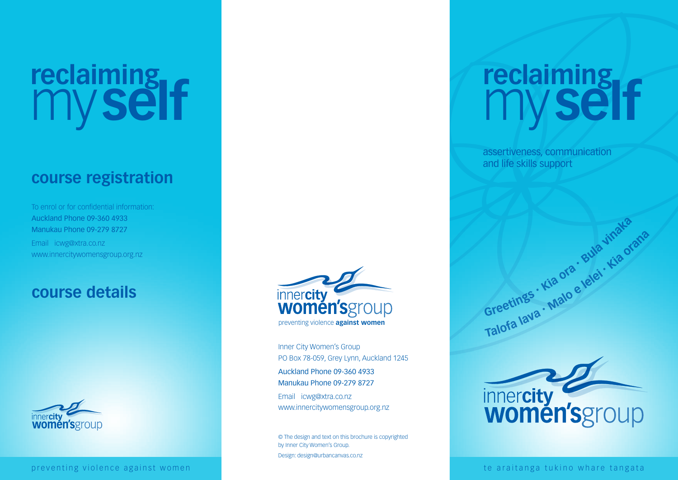# **reclaiming** my **self**

## **course registration**

To enrol or for confidential information: Auckland Phone 09-360 4933 Manukau Phone 09-279 8727 Email icwg@xtra.co.nz www.innercitywomensgroup.org.nz

### **course details**





Inner City Women's Group PO Box 78-059, Grey Lynn, Auckland 1245 Auckland Phone 09-360 4933 Manukau Phone 09-279 8727 Email icwg@xtra.co.nz

www.innercitywomensgroup.org.nz

© The design and text on this brochure is copyrighted by Inner City Women's Group. Design: design@urbancanvas.co.nz

## **reclaiming** my **self**

assertiveness, communication and life skills support